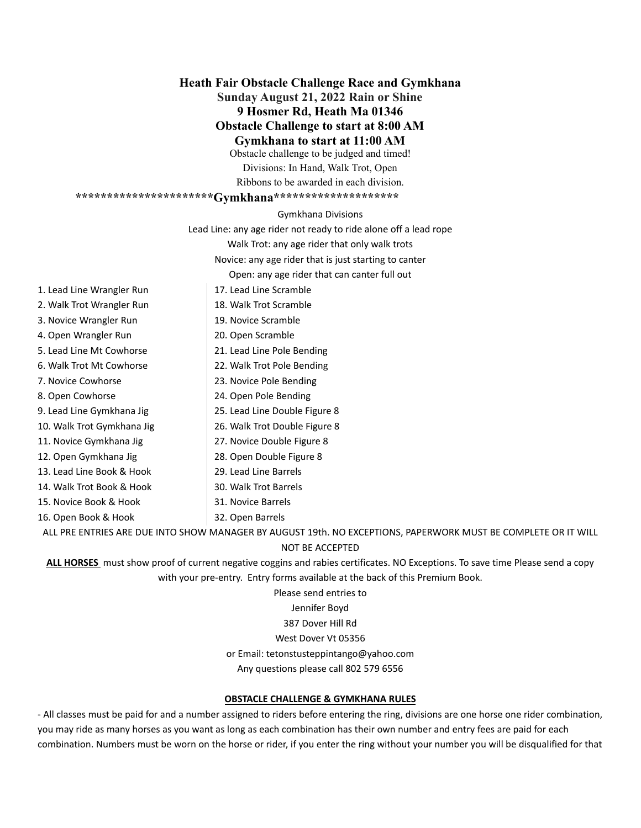**Heath Fair Obstacle Challenge Race and Gymkhana Sunday August 21, 2022 Rain or Shine 9 Hosmer Rd, Heath Ma 01346 Obstacle Challenge to start at 8:00 AM Gymkhana to start at 11:00 AM** Obstacle challenge to be judged and timed!

Divisions: In Hand, Walk Trot, Open Ribbons to be awarded in each division.

### **\*\*\*\*\*\*\*\*\*\*\*\*\*\*\*\*\*\*\*\*\*\*Gymkhana\*\*\*\*\*\*\*\*\*\*\*\*\*\*\*\*\*\*\*\***

Gymkhana Divisions

Lead Line: any age rider not ready to ride alone off a lead rope

Walk Trot: any age rider that only walk trots

Novice: any age rider that is just starting to canter

Open: any age rider that can canter full out

- 1. Lead Line Wrangler Run
- 2. Walk Trot Wrangler Run
- 3. Novice Wrangler Run
- 4. Open Wrangler Run
- 5. Lead Line Mt Cowhorse
- 6. Walk Trot Mt Cowhorse
- 7. Novice Cowhorse
- 8. Open Cowhorse
- 9. Lead Line Gymkhana Jig
- 10. Walk Trot Gymkhana Jig
- 11. Novice Gymkhana Jig
- 12. Open Gymkhana Jig
- 13. Lead Line Book & Hook
- 14. Walk Trot Book & Hook
- 15. Novice Book & Hook
- 16. Open Book & Hook

ALL PRE ENTRIES ARE DUE INTO SHOW MANAGER BY AUGUST 19th. NO EXCEPTIONS, PAPERWORK MUST BE COMPLETE OR IT WILL

#### NOT BE ACCEPTED

**ALL HORSES** must show proof of current negative coggins and rabies certificates. NO Exceptions. To save time Please send a copy with your pre-entry. Entry forms available at the back of this Premium Book.

> Please send entries to Jennifer Boyd

387 Dover Hill Rd

#### West Dover Vt 05356

or Email: [tetonstusteppintango@yahoo.com](mailto:tetonstusteppintango@yahoo.com)

Any questions please call 802 579 6556

#### **OBSTACLE CHALLENGE & GYMKHANA RULES**

- All classes must be paid for and a number assigned to riders before entering the ring, divisions are one horse one rider combination, you may ride as many horses as you want as long as each combination has their own number and entry fees are paid for each combination. Numbers must be worn on the horse or rider, if you enter the ring without your number you will be disqualified for that

- 21. Lead Line Pole Bending 22. Walk Trot Pole Bending
	- 23. Novice Pole Bending
		- 24. Open Pole Bending

17. Lead Line Scramble 18. Walk Trot Scramble 19. Novice Scramble 20. Open Scramble

- 25. Lead Line Double Figure 8
- 26. Walk Trot Double Figure 8
- 27. Novice Double Figure 8
- 28. Open Double Figure 8
- 29. Lead Line Barrels
- 30. Walk Trot Barrels
- 31. Novice Barrels 32. Open Barrels
-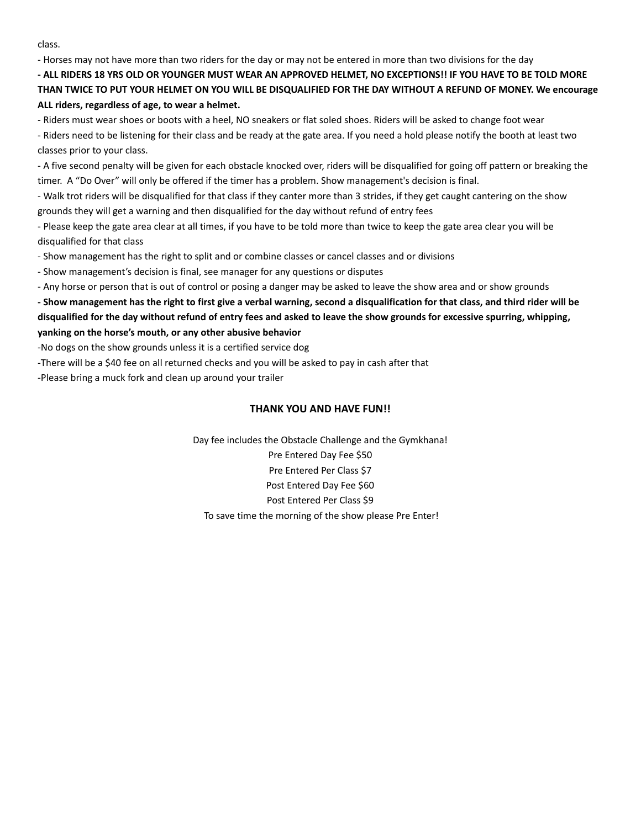class.

- Horses may not have more than two riders for the day or may not be entered in more than two divisions for the day

- ALL RIDERS 18 YRS OLD OR YOUNGER MUST WEAR AN APPROVED HELMET, NO EXCEPTIONS!! IF YOU HAVE TO BE TOLD MORE THAN TWICE TO PUT YOUR HELMET ON YOU WILL BE DISQUALIFIED FOR THE DAY WITHOUT A REFUND OF MONEY. We encourage **ALL riders, regardless of age, to wear a helmet.**

- Riders must wear shoes or boots with a heel, NO sneakers or flat soled shoes. Riders will be asked to change foot wear - Riders need to be listening for their class and be ready at the gate area. If you need a hold please notify the booth at least two classes prior to your class.

- A five second penalty will be given for each obstacle knocked over, riders will be disqualified for going off pattern or breaking the timer. A "Do Over" will only be offered if the timer has a problem. Show management's decision is final.

- Walk trot riders will be disqualified for that class if they canter more than 3 strides, if they get caught cantering on the show grounds they will get a warning and then disqualified for the day without refund of entry fees

- Please keep the gate area clear at all times, if you have to be told more than twice to keep the gate area clear you will be disqualified for that class

- Show management has the right to split and or combine classes or cancel classes and or divisions

- Show management's decision is final, see manager for any questions or disputes

- Any horse or person that is out of control or posing a danger may be asked to leave the show area and or show grounds

- Show management has the right to first give a verbal warning, second a disqualification for that class, and third rider will be disqualified for the day without refund of entry fees and asked to leave the show grounds for excessive spurring, whipping, **yanking on the horse's mouth, or any other abusive behavior**

-No dogs on the show grounds unless it is a certified service dog

-There will be a \$40 fee on all returned checks and you will be asked to pay in cash after that

-Please bring a muck fork and clean up around your trailer

#### **THANK YOU AND HAVE FUN!!**

Day fee includes the Obstacle Challenge and the Gymkhana! Pre Entered Day Fee \$50 Pre Entered Per Class \$7 Post Entered Day Fee \$60 Post Entered Per Class \$9 To save time the morning of the show please Pre Enter!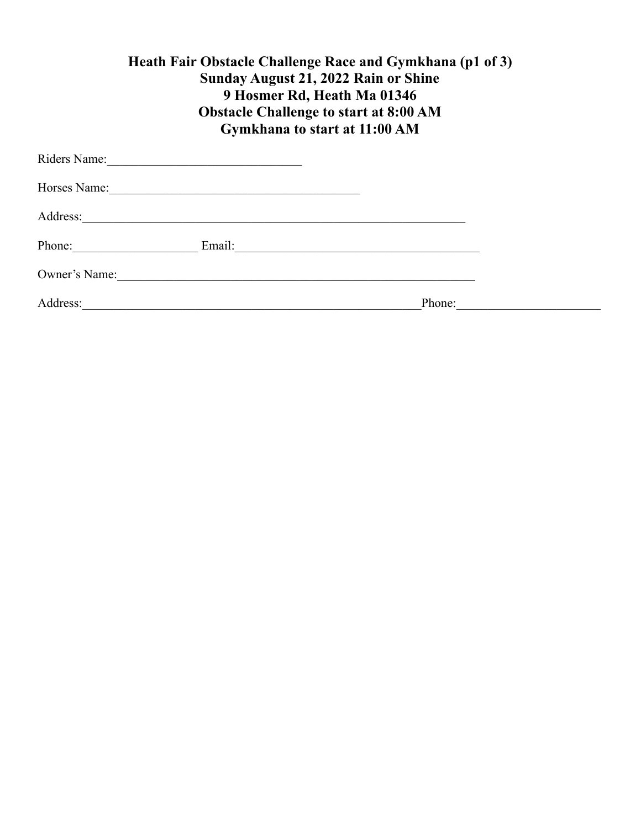| Heath Fair Obstacle Challenge Race and Gymkhana (p1 of 3) |
|-----------------------------------------------------------|
| <b>Sunday August 21, 2022 Rain or Shine</b>               |
| 9 Hosmer Rd, Heath Ma 01346                               |
| <b>Obstacle Challenge to start at 8:00 AM</b>             |
| Gymkhana to start at 11:00 AM                             |
|                                                           |

| Riders Name:  | the control of the control of the control of the control of the control of the control of |                                                                                                                       |  |
|---------------|-------------------------------------------------------------------------------------------|-----------------------------------------------------------------------------------------------------------------------|--|
| Horses Name:  |                                                                                           |                                                                                                                       |  |
| Address:      |                                                                                           |                                                                                                                       |  |
| Phone:        | Email:                                                                                    | <u> 1989 - Johann John Stein, mars and de British and de British and de British and de British and de British and</u> |  |
| Owner's Name: |                                                                                           |                                                                                                                       |  |
| Address:      |                                                                                           | Phone:                                                                                                                |  |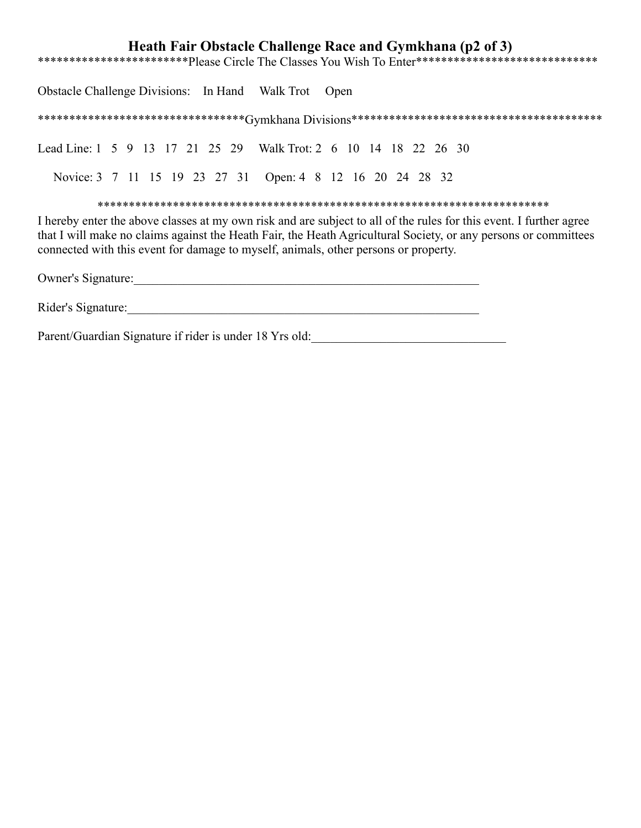## **Heath Fair Obstacle Challenge Race and Gymkhana (p2 of 3)**

\*\*\*\*\*\*\*\*\*\*\*\*\*\*\*\*\*\*\*\*\*\*\*\*Please Circle The Classes You Wish To Enter\*\*\*\*\*\*\*\*\*\*\*\*\*\*\*\*\*\*\*\*\*\*\*\*\*\*\*\*\*\*\*\*

Obstacle Challenge Divisions: In Hand Walk Trot Open

\*\*\*\*\*\*\*\*\*\*\*\*\*\*\*\*\*\*\*\*\*\*\*\*\*\*\*\*\*\*\*\*\*Gymkhana Divisions\*\*\*\*\*\*\*\*\*\*\*\*\*\*\*\*\*\*\*\*\*\*\*\*\*\*\*\*\*\*\*\*\*\*\*\*\*\*\*\*

Lead Line: 1 5 9 13 17 21 25 29 Walk Trot: 2 6 10 14 18 22 26 30

Novice: 3 7 11 15 19 23 27 31 Open: 4 8 12 16 20 24 28 32

\*\*\*\*\*\*\*\*\*\*\*\*\*\*\*\*\*\*\*\*\*\*\*\*\*\*\*\*\*\*\*\*\*\*\*\*\*\*\*\*\*\*\*\*\*\*\*\*\*\*\*\*\*\*\*\*\*\*\*\*\*\*\*\*\*\*\*\*\*\*\*\*

I hereby enter the above classes at my own risk and are subject to all of the rules for this event. I further agree that I will make no claims against the Heath Fair, the Heath Agricultural Society, or any persons or committees connected with this event for damage to myself, animals, other persons or property.

Owner's Signature:

Rider's Signature:\_\_\_\_\_\_\_\_\_\_\_\_\_\_\_\_\_\_\_\_\_\_\_\_\_\_\_\_\_\_\_\_\_\_\_\_\_\_\_\_\_\_\_\_\_\_\_\_\_\_\_\_\_\_\_\_

Parent/Guardian Signature if rider is under 18 Yrs old:\_\_\_\_\_\_\_\_\_\_\_\_\_\_\_\_\_\_\_\_\_\_\_\_\_